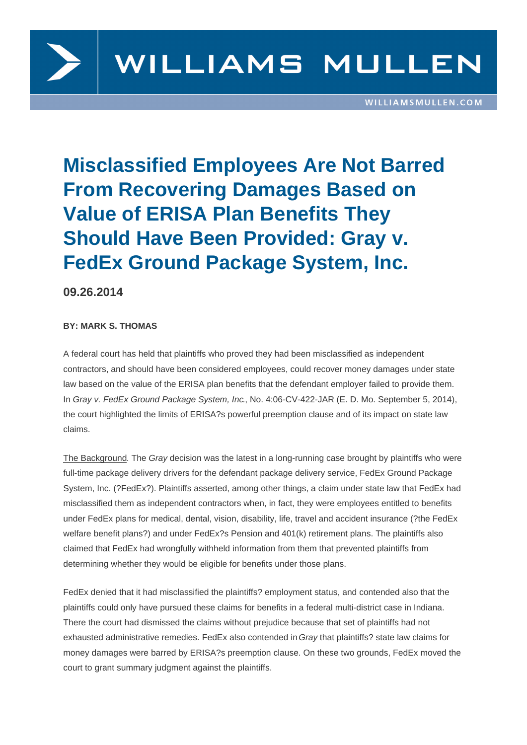

## **Misclassified Employees Are Not Barred From Recovering Damages Based on Value of ERISA Plan Benefits They Should Have Been Provided: Gray v. FedEx Ground Package System, Inc.**

**09.26.2014**

## **BY: MARK S. THOMAS**

A federal court has held that plaintiffs who proved they had been misclassified as independent contractors, and should have been considered employees, could recover money damages under state law based on the value of the ERISA plan benefits that the defendant employer failed to provide them. In Gray v. FedEx Ground Package System, Inc., No. 4:06-CV-422-JAR (E. D. Mo. September 5, 2014), the court highlighted the limits of ERISA?s powerful preemption clause and of its impact on state law claims.

The Background. The Gray decision was the latest in a long-running case brought by plaintiffs who were full-time package delivery drivers for the defendant package delivery service, FedEx Ground Package System, Inc. (?FedEx?). Plaintiffs asserted, among other things, a claim under state law that FedEx had misclassified them as independent contractors when, in fact, they were employees entitled to benefits under FedEx plans for medical, dental, vision, disability, life, travel and accident insurance (?the FedEx welfare benefit plans?) and under FedEx?s Pension and 401(k) retirement plans. The plaintiffs also claimed that FedEx had wrongfully withheld information from them that prevented plaintiffs from determining whether they would be eligible for benefits under those plans.

FedEx denied that it had misclassified the plaintiffs? employment status, and contended also that the plaintiffs could only have pursued these claims for benefits in a federal multi-district case in Indiana. There the court had dismissed the claims without prejudice because that set of plaintiffs had not exhausted administrative remedies. FedEx also contended in Gray that plaintiffs? state law claims for money damages were barred by ERISA?s preemption clause. On these two grounds, FedEx moved the court to grant summary judgment against the plaintiffs.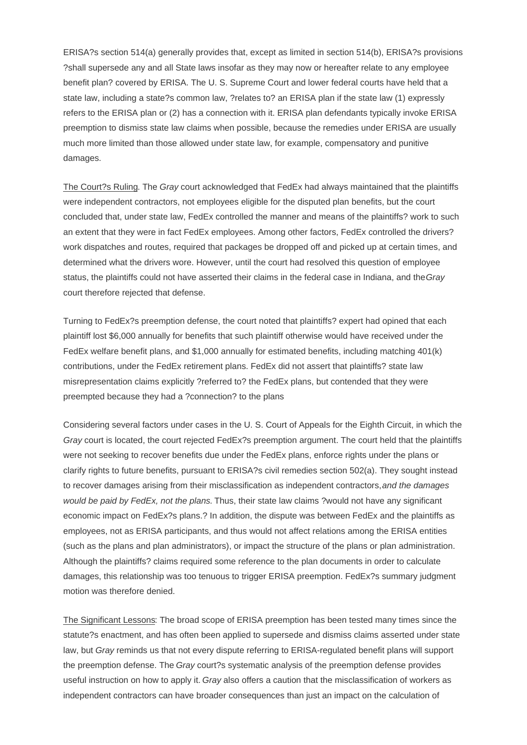ERISA?s section 514(a) generally provides that, except as limited in section 514(b), ERISA?s provisions ?shall supersede any and all State laws insofar as they may now or hereafter relate to any employee benefit plan? covered by ERISA. The U. S. Supreme Court and lower federal courts have held that a state law, including a state?s common law, ?relates to? an ERISA plan if the state law (1) expressly refers to the ERISA plan or (2) has a connection with it. ERISA plan defendants typically invoke ERISA preemption to dismiss state law claims when possible, because the remedies under ERISA are usually much more limited than those allowed under state law, for example, compensatory and punitive damages.

The Court?s Ruling. The Gray court acknowledged that FedEx had always maintained that the plaintiffs were independent contractors, not employees eligible for the disputed plan benefits, but the court concluded that, under state law, FedEx controlled the manner and means of the plaintiffs? work to such an extent that they were in fact FedEx employees. Among other factors, FedEx controlled the drivers? work dispatches and routes, required that packages be dropped off and picked up at certain times, and determined what the drivers wore. However, until the court had resolved this question of employee status, the plaintiffs could not have asserted their claims in the federal case in Indiana, and the Gray court therefore rejected that defense.

Turning to FedEx?s preemption defense, the court noted that plaintiffs? expert had opined that each plaintiff lost \$6,000 annually for benefits that such plaintiff otherwise would have received under the FedEx welfare benefit plans, and \$1,000 annually for estimated benefits, including matching 401(k) contributions, under the FedEx retirement plans. FedEx did not assert that plaintiffs? state law misrepresentation claims explicitly ?referred to? the FedEx plans, but contended that they were preempted because they had a ?connection? to the plans

Considering several factors under cases in the U. S. Court of Appeals for the Eighth Circuit, in which the Gray court is located, the court rejected FedEx?s preemption argument. The court held that the plaintiffs were not seeking to recover benefits due under the FedEx plans, enforce rights under the plans or clarify rights to future benefits, pursuant to ERISA?s civil remedies section 502(a). They sought instead to recover damages arising from their misclassification as independent contractors, and the damages would be paid by FedEx, not the plans. Thus, their state law claims ?would not have any significant economic impact on FedEx?s plans.? In addition, the dispute was between FedEx and the plaintiffs as employees, not as ERISA participants, and thus would not affect relations among the ERISA entities (such as the plans and plan administrators), or impact the structure of the plans or plan administration. Although the plaintiffs? claims required some reference to the plan documents in order to calculate damages, this relationship was too tenuous to trigger ERISA preemption. FedEx?s summary judgment motion was therefore denied.

The Significant Lessons: The broad scope of ERISA preemption has been tested many times since the statute?s enactment, and has often been applied to supersede and dismiss claims asserted under state law, but Gray reminds us that not every dispute referring to ERISA-regulated benefit plans will support the preemption defense. The Gray court?s systematic analysis of the preemption defense provides useful instruction on how to apply it. Gray also offers a caution that the misclassification of workers as independent contractors can have broader consequences than just an impact on the calculation of